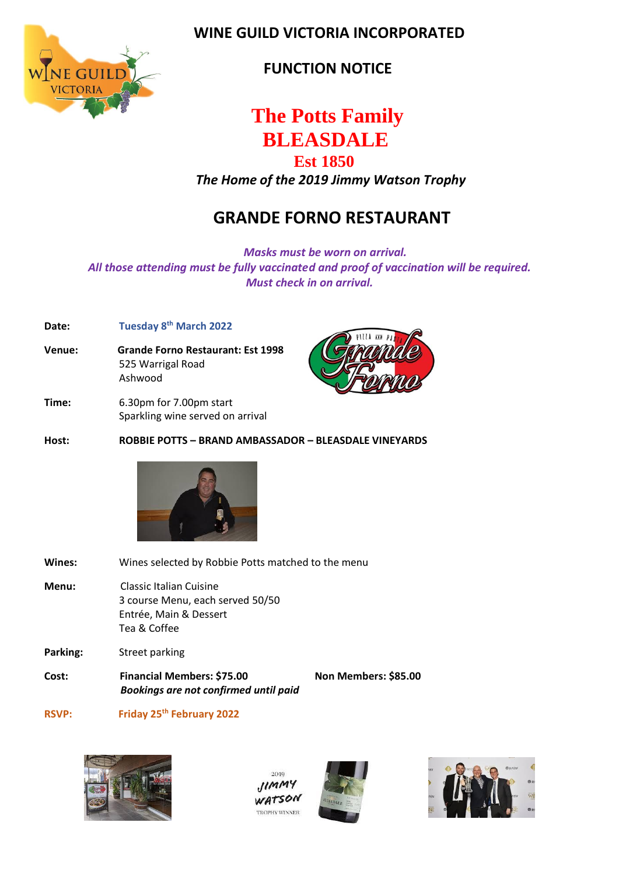

 **WINE GUILD VICTORIA INCORPORATED**

 **FUNCTION NOTICE**

# **The Potts Family** **BLEASDALE**

### **Est 1850**

*The Home of the 2019 Jimmy Watson Trophy*

# **GRANDE FORNO RESTAURANT**

 *Masks must be worn on arrival. All those attending must be fully vaccinated and proof of vaccination will be required. Must check in on arrival.*

#### **Date: Tuesday 8 th March 2022**

- **Venue: Grande Forno Restaurant: Est 1998** 525 Warrigal Road Ashwood
- **Time:** 6.30pm for 7.00pm start Sparkling wine served on arrival



**Host: ROBBIE POTTS – BRAND AMBASSADOR – BLEASDALE VINEYARDS** 



| Wines:       | Wines selected by Robbie Potts matched to the menu                                                    |                      |
|--------------|-------------------------------------------------------------------------------------------------------|----------------------|
| Menu:        | Classic Italian Cuisine<br>3 course Menu, each served 50/50<br>Entrée, Main & Dessert<br>Tea & Coffee |                      |
| Parking:     | Street parking                                                                                        |                      |
| Cost:        | Financial Members: \$75.00<br><b>Bookings are not confirmed until paid</b>                            | Non Members: \$85.00 |
| <b>RSVP:</b> | Friday 25 <sup>th</sup> February 2022                                                                 |                      |



2010  $11mm$ WATSON **TROPHY WINNER**